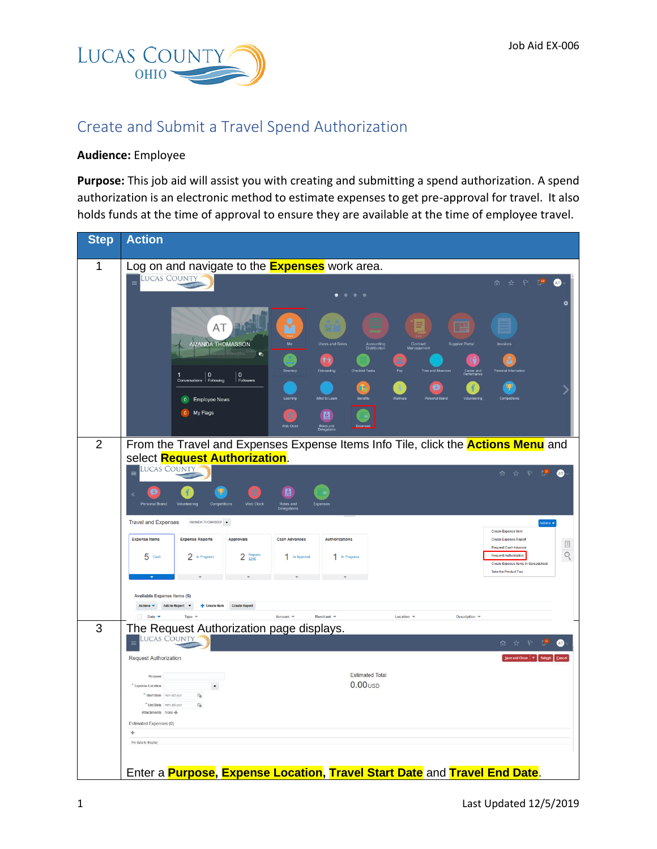

## Create and Submit a Travel Spend Authorization

## **Audience:** Employee

**Purpose:** This job aid will assist you with creating and submitting a spend authorization. A spend authorization is an electronic method to estimate expenses to get pre-approval for travel. It also holds funds at the time of approval to ensure they are available at the time of employee travel.

| <b>Step</b>    | <b>Action</b>                                                                                                                                                              |  |  |  |  |  |  |
|----------------|----------------------------------------------------------------------------------------------------------------------------------------------------------------------------|--|--|--|--|--|--|
| $\mathbf{1}$   | Log on and navigate to the <b>Expenses</b> work area.                                                                                                                      |  |  |  |  |  |  |
|                | <b>LUCAS COUNTY</b><br>Ë<br>☆<br>$\approx$<br>$\frac{69}{2}$<br>Ŵ.                                                                                                         |  |  |  |  |  |  |
|                | $\bullet$                                                                                                                                                                  |  |  |  |  |  |  |
|                |                                                                                                                                                                            |  |  |  |  |  |  |
|                | AT<br>里的                                                                                                                                                                   |  |  |  |  |  |  |
|                |                                                                                                                                                                            |  |  |  |  |  |  |
|                | AMANDA THOMASSON<br><b>Users and Roles</b><br><b>Supplier Portal</b><br>Accounting<br>Distribution<br>Contract<br>Sanagement<br>v.                                         |  |  |  |  |  |  |
|                | 育育                                                                                                                                                                         |  |  |  |  |  |  |
|                | 1 0<br>Conversations <b>0</b><br>Following<br>$\vert$ 0<br>Followers                                                                                                       |  |  |  |  |  |  |
|                | 0 Employee News                                                                                                                                                            |  |  |  |  |  |  |
|                | My Flags<br>$\bullet$<br>$\mathbf{a}$                                                                                                                                      |  |  |  |  |  |  |
|                | <b>toles</b> and                                                                                                                                                           |  |  |  |  |  |  |
| $\overline{2}$ |                                                                                                                                                                            |  |  |  |  |  |  |
|                | From the Travel and Expenses Expense Items Info Tile, click the <b>Actions Menu</b> and<br>select Request Authorization.                                                   |  |  |  |  |  |  |
|                | <b>LUCAS COUNTY</b><br>$\equiv$<br>俞 ☆<br>$\tilde{V}_{\tilde{e}}$<br>$\mathcal{P}$<br>Œ                                                                                    |  |  |  |  |  |  |
|                |                                                                                                                                                                            |  |  |  |  |  |  |
|                | Ò<br>⊠<br>Œ<br>Personal Brand                                                                                                                                              |  |  |  |  |  |  |
|                | Web Clock<br>Roles and<br>Delenation                                                                                                                                       |  |  |  |  |  |  |
|                | <b>Travel and Expenses</b><br>$\begin{tabular}{lllll} AMANDA THOMASSOI & $\blacktriangleright$ \end{tabular}$<br>Actions v<br>Create Expense Item                          |  |  |  |  |  |  |
|                | <b>Expense Items</b><br><b>Expense Reports</b><br><b>Cash Advances</b><br>Approvals<br>Authorizations<br>Create Expense Report<br>$\boxed{\equiv}$<br>Request Cash Advance |  |  |  |  |  |  |
|                | Q<br>$2$ Reports<br>Request Authorization<br>$5$ Cash<br>2 In Progress<br>1 In Progress<br>1 In Approval<br>Create Expense Items in Spreadsheet                            |  |  |  |  |  |  |
|                | Take the Product Tour                                                                                                                                                      |  |  |  |  |  |  |
|                |                                                                                                                                                                            |  |  |  |  |  |  |
|                | <b>Available Expense Items (5)</b><br>Actions v Add to Report v + Create Item Create Report                                                                                |  |  |  |  |  |  |
|                | $\Box$ Date $\blacktriangledown$<br>Type =<br>Amount $\equiv$<br>Merchant $\equiv$<br>Location $\equiv$<br>Description =                                                   |  |  |  |  |  |  |
| 3              | The Request Authorization page displays.                                                                                                                                   |  |  |  |  |  |  |
|                | Lucas County<br>面 ☆ P 喫                                                                                                                                                    |  |  |  |  |  |  |
|                | <b>Request Authorization</b><br>Save and Close                                                                                                                             |  |  |  |  |  |  |
|                | <b>Estimated Total</b><br>Purpose                                                                                                                                          |  |  |  |  |  |  |
|                | $0.00$ <sub>usp</sub><br>* Expense Location<br>$\pmb{\mathrm{v}}$                                                                                                          |  |  |  |  |  |  |
|                | * Start Date mm-dd-yyyy<br>f6<br>* End Date mm-dd-www<br>t'a                                                                                                               |  |  |  |  |  |  |
|                | Attachments None                                                                                                                                                           |  |  |  |  |  |  |
|                | Estimated Expenses (0)<br>÷                                                                                                                                                |  |  |  |  |  |  |
|                | No data to display.                                                                                                                                                        |  |  |  |  |  |  |
|                |                                                                                                                                                                            |  |  |  |  |  |  |
|                | Enter a Purpose, Expense Location, Travel Start Date and Travel End Date.                                                                                                  |  |  |  |  |  |  |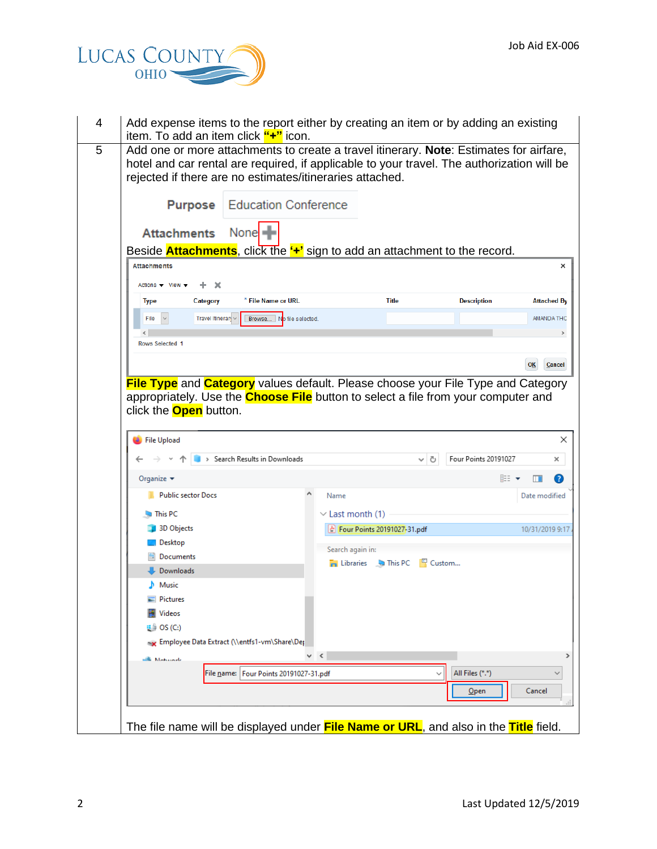

| Add expense items to the report either by creating an item or by adding an existing<br>item. To add an item click "+" icon.                                                                                                                      |                                                          |          |                      |                     |
|--------------------------------------------------------------------------------------------------------------------------------------------------------------------------------------------------------------------------------------------------|----------------------------------------------------------|----------|----------------------|---------------------|
| Add one or more attachments to create a travel itinerary. Note: Estimates for airfare,<br>hotel and car rental are required, if applicable to your travel. The authorization will be<br>rejected if there are no estimates/itineraries attached. |                                                          |          |                      |                     |
| <b>Education Conference</b><br><b>Purpose</b>                                                                                                                                                                                                    |                                                          |          |                      |                     |
| None<br><b>Attachments</b>                                                                                                                                                                                                                       |                                                          |          |                      |                     |
| Beside <b>Attachments</b> , click the " <sup>+</sup> " sign to add an attachment to the record.                                                                                                                                                  |                                                          |          |                      |                     |
| <b>Attachments</b>                                                                                                                                                                                                                               |                                                          |          |                      |                     |
| $+ \times$<br>Actions $\blacktriangledown$ View $\blacktriangledown$                                                                                                                                                                             |                                                          |          |                      |                     |
| * File Name or URL<br><b>Type</b><br>Category                                                                                                                                                                                                    | <b>Title</b>                                             |          | <b>Description</b>   | <b>Attached By</b>  |
| Travel Itineran ~<br>Browse No file selected.<br>File                                                                                                                                                                                            |                                                          |          |                      | <b>AMANDA THC</b>   |
| $\langle$                                                                                                                                                                                                                                        |                                                          |          |                      |                     |
| <b>Rows Selected 1</b>                                                                                                                                                                                                                           |                                                          |          |                      |                     |
|                                                                                                                                                                                                                                                  |                                                          |          |                      | <b>OK</b><br>Cancel |
| <b>File Type</b> and <b>Category</b> values default. Please choose your File Type and Category<br>appropriately. Use the <b>Choose File</b> button to select a file from your computer and<br>click the <b>Open</b> button.<br>File Upload       |                                                          |          |                      |                     |
| > Search Results in Downloads                                                                                                                                                                                                                    |                                                          | ৺ ু      | Four Points 20191027 | ×                   |
| Organize v                                                                                                                                                                                                                                       |                                                          |          |                      | 距 ▼<br>Ø<br>m       |
| <b>Public sector Docs</b>                                                                                                                                                                                                                        | Name                                                     |          |                      | Date modified       |
|                                                                                                                                                                                                                                                  |                                                          |          |                      |                     |
| This PC<br><b>BI</b> 3D Objects                                                                                                                                                                                                                  | $\vee$ Last month (1)                                    |          |                      |                     |
| Desktop                                                                                                                                                                                                                                          | $\left \frac{1}{2^n}\right $ Four Points 20191027-31.pdf |          |                      |                     |
| Documents                                                                                                                                                                                                                                        | Search again in:                                         |          |                      |                     |
| Downloads                                                                                                                                                                                                                                        | <b>Example 1</b> This PC                                 | 图 Custom |                      |                     |
| Music                                                                                                                                                                                                                                            |                                                          |          |                      |                     |
| $=$ Pictures                                                                                                                                                                                                                                     |                                                          |          |                      |                     |
| <b>Videos</b>                                                                                                                                                                                                                                    |                                                          |          |                      |                     |
| $\frac{1}{2}$ OS (C:)                                                                                                                                                                                                                            |                                                          |          |                      |                     |
| Employee Data Extract (\\entfs1-vm\Share\Deptile                                                                                                                                                                                                 |                                                          |          |                      |                     |
| A Maturack                                                                                                                                                                                                                                       | $\vee$ $\leq$                                            |          |                      | 10/31/2019 9:17     |
| File name:   Four Points 20191027-31.pdf                                                                                                                                                                                                         |                                                          |          | All Files (*.*)      | $\checkmark$        |
|                                                                                                                                                                                                                                                  |                                                          |          | $Q$ pen              | Cancel              |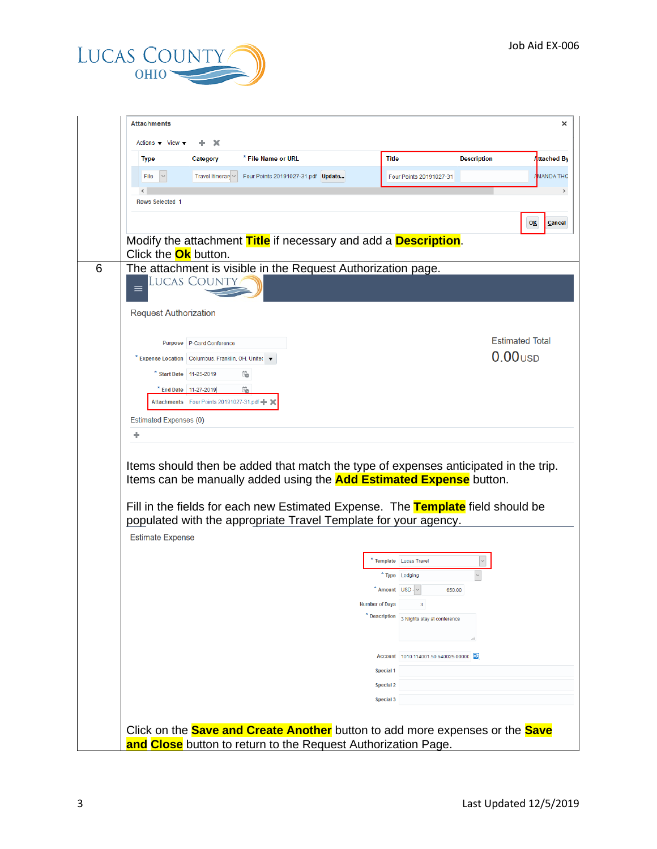

| <b>Type</b>                   | Category                                            | * File Name or URL                                                                                                                                                                                                               | <b>Title</b>                  |                             | <b>Description</b> | Attached By            |
|-------------------------------|-----------------------------------------------------|----------------------------------------------------------------------------------------------------------------------------------------------------------------------------------------------------------------------------------|-------------------------------|-----------------------------|--------------------|------------------------|
| File                          | Travel Itineran v                                   | Four Points 20191027-31.pdf Update                                                                                                                                                                                               |                               | Four Points 20191027-31     |                    | AMANDA THC             |
|                               |                                                     |                                                                                                                                                                                                                                  |                               |                             |                    |                        |
| <b>Rows Selected 1</b>        |                                                     |                                                                                                                                                                                                                                  |                               |                             |                    |                        |
|                               |                                                     |                                                                                                                                                                                                                                  |                               |                             |                    | OK                     |
|                               |                                                     | Modify the attachment Title if necessary and add a Description.                                                                                                                                                                  |                               |                             |                    |                        |
| Click the <b>Ok</b> button.   |                                                     |                                                                                                                                                                                                                                  |                               |                             |                    |                        |
|                               | <b>LUCAS COUNTY</b>                                 | The attachment is visible in the Request Authorization page.                                                                                                                                                                     |                               |                             |                    |                        |
| ≡                             |                                                     |                                                                                                                                                                                                                                  |                               |                             |                    |                        |
| <b>Request Authorization</b>  |                                                     |                                                                                                                                                                                                                                  |                               |                             |                    |                        |
|                               |                                                     |                                                                                                                                                                                                                                  |                               |                             |                    |                        |
|                               | Purpose P-Card Conference                           |                                                                                                                                                                                                                                  |                               |                             |                    | <b>Estimated Total</b> |
|                               | * Expense Location Columbus, Franklin, OH, Uniter v |                                                                                                                                                                                                                                  |                               |                             |                    | $0.00$ usp             |
|                               | * Start Date 11-25-2019                             | ïò                                                                                                                                                                                                                               |                               |                             |                    |                        |
|                               | * End Date 11-27-2019                               | 葩                                                                                                                                                                                                                                |                               |                             |                    |                        |
|                               | Attachments Four Points 20191027-31.pdf - X         |                                                                                                                                                                                                                                  |                               |                             |                    |                        |
|                               |                                                     |                                                                                                                                                                                                                                  |                               |                             |                    |                        |
| <b>Estimated Expenses (0)</b> |                                                     |                                                                                                                                                                                                                                  |                               |                             |                    |                        |
| ÷                             |                                                     | Items should then be added that match the type of expenses anticipated in the trip.                                                                                                                                              |                               |                             |                    |                        |
|                               |                                                     | Items can be manually added using the <b>Add Estimated Expense</b> button.<br>Fill in the fields for each new Estimated Expense. The Template field should be<br>populated with the appropriate Travel Template for your agency. |                               |                             |                    |                        |
| <b>Estimate Expense</b>       |                                                     |                                                                                                                                                                                                                                  |                               |                             |                    |                        |
|                               |                                                     |                                                                                                                                                                                                                                  | Template Lucas Travel         |                             |                    |                        |
|                               |                                                     |                                                                                                                                                                                                                                  | * Type Lodging                |                             |                    |                        |
|                               |                                                     |                                                                                                                                                                                                                                  | $*$ Amount USD - $\vee$       | 650.00                      |                    |                        |
|                               |                                                     |                                                                                                                                                                                                                                  | <b>Number of Days</b>         | 3                           |                    |                        |
|                               |                                                     |                                                                                                                                                                                                                                  | * Description                 | 3 Nights stay at conference |                    |                        |
|                               |                                                     |                                                                                                                                                                                                                                  |                               |                             |                    |                        |
|                               |                                                     |                                                                                                                                                                                                                                  | <b>Account</b>                | 1010.114001.50.640025.00000 |                    |                        |
|                               |                                                     |                                                                                                                                                                                                                                  | <b>Special 1</b>              |                             |                    |                        |
|                               |                                                     |                                                                                                                                                                                                                                  | <b>Special 2</b><br>Special 3 |                             |                    |                        |